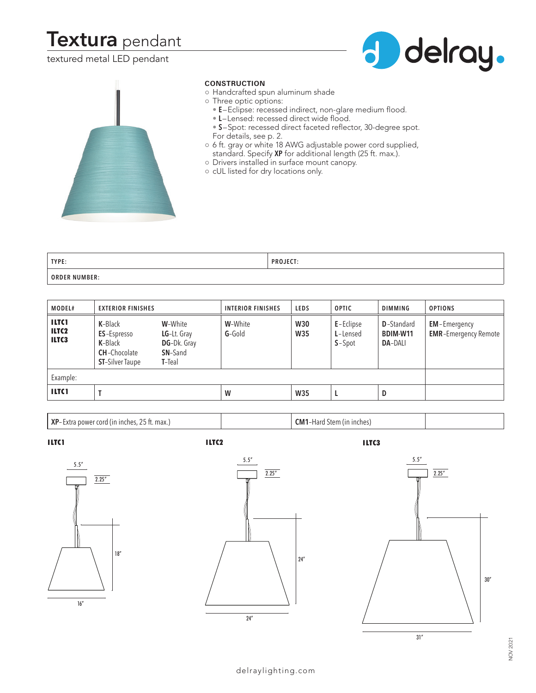# **Textura** pendant

textured metal LED pendant





### **CONSTRUCTION**

- Handcrafted spun aluminum shade
- Three optic options:
	- **E**–Eclipse: recessed indirect, non-glare medium flood.
	- **L**–Lensed: recessed direct wide flood.
	- **S**–Spot: recessed direct faceted reflector, 30-degree spot. For details, see p. 2.
- 6 ft. gray or white 18 AWG adjustable power cord supplied, standard. Specify **XP** for additional length (25 ft. max.).
- Drivers installed in surface mount canopy.
- cUL listed for dry locations only.

| TYPE:                | <b>PROJECT:</b> |
|----------------------|-----------------|
| <b>ORDER NUMBER:</b> |                 |

| MODEL#                                                 | <b>EXTERIOR FINISHES</b>                                                                          |                                                                             | <b>INTERIOR FINISHES</b> | <b>LEDS</b>              | <b>OPTIC</b>                      | <b>DIMMING</b>                                   | <b>OPTIONS</b>                                     |
|--------------------------------------------------------|---------------------------------------------------------------------------------------------------|-----------------------------------------------------------------------------|--------------------------|--------------------------|-----------------------------------|--------------------------------------------------|----------------------------------------------------|
| <b>ILTC1</b><br>ILTC <sub>2</sub><br>ILTC <sub>3</sub> | K-Black<br><b>ES-Espresso</b><br><b>K-</b> Black<br><b>CH-Chocolate</b><br><b>ST-Silver Taupe</b> | W-White<br>LG-Lt. Gray<br><b>DG-Dk. Gray</b><br><b>SN-Sand</b><br>$T$ -Teal | W-White<br>$G-Gold$      | <b>W30</b><br><b>W35</b> | E-Eclipse<br>L-Lensed<br>$S-Spot$ | <b>D</b> -Standard<br>BDIM-W11<br><b>DA-DALI</b> | <b>EM-Emergency</b><br><b>EMR-Emergency Remote</b> |
| Example:                                               |                                                                                                   |                                                                             |                          |                          |                                   |                                                  |                                                    |
| <b>ILTC1</b>                                           |                                                                                                   |                                                                             | W                        | <b>W35</b>               |                                   | D                                                |                                                    |

**XP**– Extra power cord (in inches, 25 ft. max.) **CM1**–Hard Stem (in inches)

I LTC3





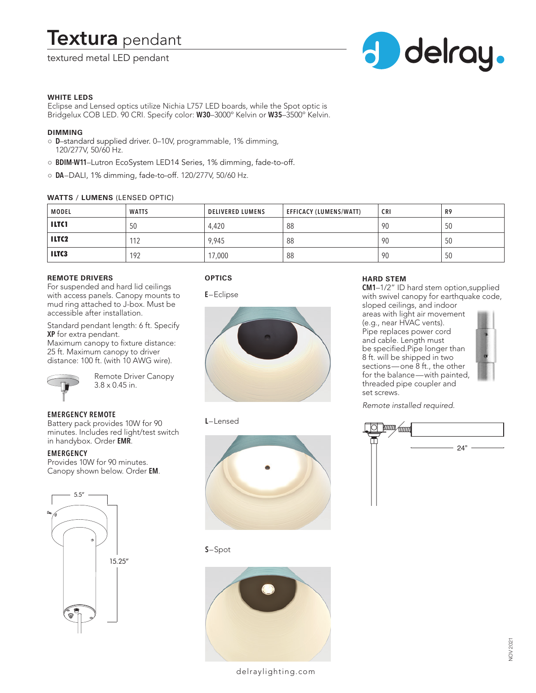# **Textura** pendant

## textured metal LED pendant



#### **WHITE LEDS**

Eclipse and Lensed optics utilize Nichia L757 LED boards, while the Spot optic is Bridgelux COB LED. 90 CRI. Specify color: **W30**–3000º Kelvin or **W35**–3500º Kelvin.

#### **DIMMING**

- **D**–standard supplied driver. 0–10V, programmable, 1% dimming, 120/277V, 50/60 Hz.
- **BDIM-W11**–Lutron EcoSystem LED14 Series, 1% dimming, fade-to-off.
- **DA**–DALI, 1% dimming, fade-to-off. 120/277V, 50/60 Hz.

#### **WATTS / LUMENS** (LENSED OPTIC)

| <b>MODEL</b> | <b>WATTS</b> | <b>DELIVERED LUMENS</b> | EFFICACY (LUMENS/WATT) | <b>CRI</b> | R9 |
|--------------|--------------|-------------------------|------------------------|------------|----|
| <b>ILTCI</b> | 50           | 4,420                   | 88                     | 90         | 50 |
| <b>ILTC2</b> | 112          | 9,945                   | 88                     | -90        | 50 |
| <b>ILTC3</b> | 192          | 17,000                  | 88                     | -90        | 50 |

#### **REMOTE DRIVERS**

For suspended and hard lid ceilings with access panels. Canopy mounts to mud ring attached to J-box. Must be accessible after installation.

Standard pendant length: 6 ft. Specify **XP** for extra pendant.

Maximum canopy to fixture distance: 25 ft. Maximum canopy to driver distance: 100 ft. (with 10 AWG wire).



Remote Driver Canopy 3.8 x 0.45 in.

### **EMERGENCY REMOTE**

Battery pack provides 10W for 90 minutes. Includes red light/test switch in handybox. Order **EMR**.

#### **EMERGENCY**

Provides 10W for 90 minutes. Canopy shown below. Order **EM**.











#### **S**–Spot



### **HARD STEM**

**CM1**–1/2" ID hard stem option,supplied with swivel canopy for earthquake code, sloped ceilings, and indoor areas with light air movement (e.g., near HVAC vents). Pipe replaces power cord and cable. Length must be specified.Pipe longer than 8 ft. will be shipped in two sections—one 8 ft., the other for the balance—with painted, threaded pipe coupler and set screws.

*Remote installed required.*